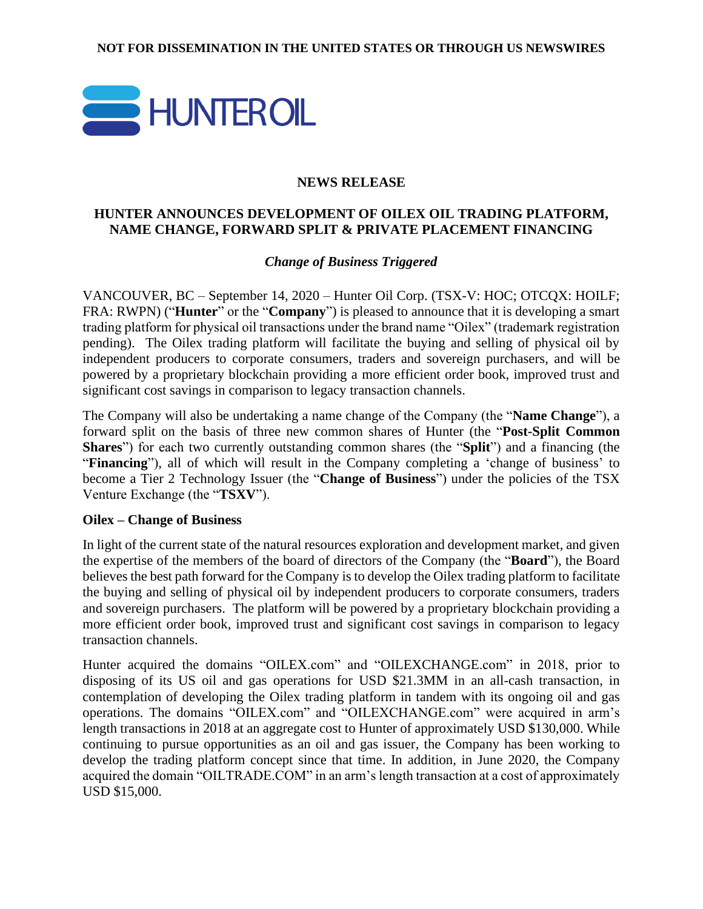

#### **NEWS RELEASE**

## **HUNTER ANNOUNCES DEVELOPMENT OF OILEX OIL TRADING PLATFORM, NAME CHANGE, FORWARD SPLIT & PRIVATE PLACEMENT FINANCING**

*Change of Business Triggered*

VANCOUVER, BC – September 14, 2020 – Hunter Oil Corp. (TSX-V: HOC; OTCQX: HOILF; FRA: RWPN) ("**Hunter**" or the "**Company**") is pleased to announce that it is developing a smart trading platform for physical oil transactions under the brand name "Oilex" (trademark registration pending). The Oilex trading platform will facilitate the buying and selling of physical oil by independent producers to corporate consumers, traders and sovereign purchasers, and will be powered by a proprietary blockchain providing a more efficient order book, improved trust and significant cost savings in comparison to legacy transaction channels.

The Company will also be undertaking a name change of the Company (the "**Name Change**"), a forward split on the basis of three new common shares of Hunter (the "**Post-Split Common Shares**") for each two currently outstanding common shares (the "**Split**") and a financing (the "**Financing**"), all of which will result in the Company completing a 'change of business' to become a Tier 2 Technology Issuer (the "**Change of Business**") under the policies of the TSX Venture Exchange (the "**TSXV**").

#### **Oilex – Change of Business**

In light of the current state of the natural resources exploration and development market, and given the expertise of the members of the board of directors of the Company (the "**Board**"), the Board believes the best path forward for the Company is to develop the Oilex trading platform to facilitate the buying and selling of physical oil by independent producers to corporate consumers, traders and sovereign purchasers. The platform will be powered by a proprietary blockchain providing a more efficient order book, improved trust and significant cost savings in comparison to legacy transaction channels.

Hunter acquired the domains "OILEX.com" and "OILEXCHANGE.com" in 2018, prior to disposing of its US oil and gas operations for USD \$21.3MM in an all-cash transaction, in contemplation of developing the Oilex trading platform in tandem with its ongoing oil and gas operations. The domains "OILEX.com" and "OILEXCHANGE.com" were acquired in arm's length transactions in 2018 at an aggregate cost to Hunter of approximately USD \$130,000. While continuing to pursue opportunities as an oil and gas issuer, the Company has been working to develop the trading platform concept since that time. In addition, in June 2020, the Company acquired the domain "OILTRADE.COM" in an arm's length transaction at a cost of approximately USD \$15,000.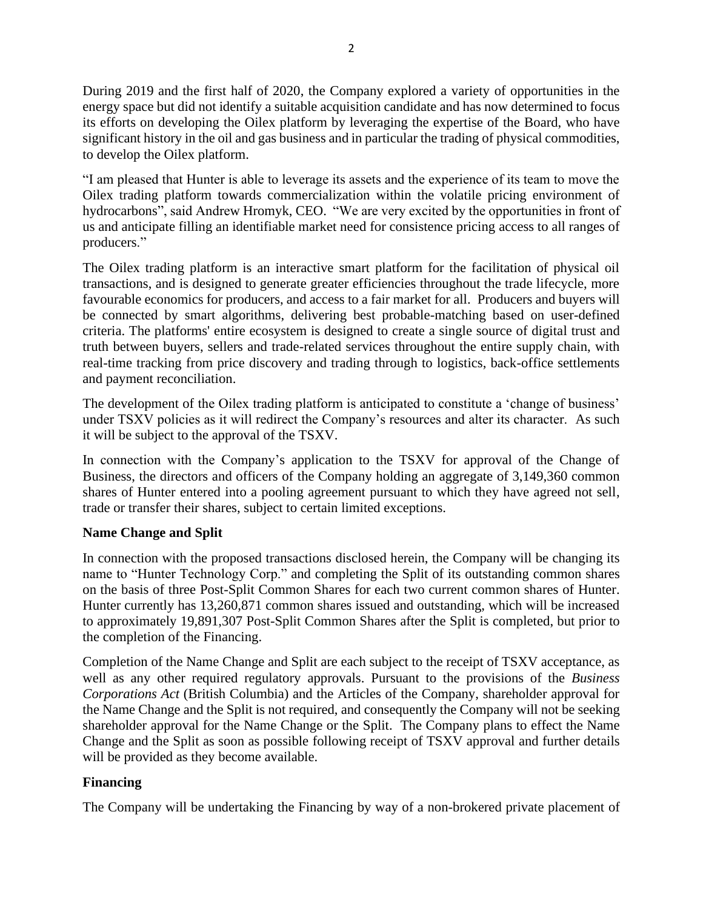During 2019 and the first half of 2020, the Company explored a variety of opportunities in the energy space but did not identify a suitable acquisition candidate and has now determined to focus its efforts on developing the Oilex platform by leveraging the expertise of the Board, who have significant history in the oil and gas business and in particular the trading of physical commodities, to develop the Oilex platform.

"I am pleased that Hunter is able to leverage its assets and the experience of its team to move the Oilex trading platform towards commercialization within the volatile pricing environment of hydrocarbons", said Andrew Hromyk, CEO. "We are very excited by the opportunities in front of us and anticipate filling an identifiable market need for consistence pricing access to all ranges of producers."

The Oilex trading platform is an interactive smart platform for the facilitation of physical oil transactions, and is designed to generate greater efficiencies throughout the trade lifecycle, more favourable economics for producers, and access to a fair market for all. Producers and buyers will be connected by smart algorithms, delivering best probable-matching based on user-defined criteria. The platforms' entire ecosystem is designed to create a single source of digital trust and truth between buyers, sellers and trade-related services throughout the entire supply chain, with real-time tracking from price discovery and trading through to logistics, back-office settlements and payment reconciliation.

The development of the Oilex trading platform is anticipated to constitute a 'change of business' under TSXV policies as it will redirect the Company's resources and alter its character. As such it will be subject to the approval of the TSXV.

In connection with the Company's application to the TSXV for approval of the Change of Business, the directors and officers of the Company holding an aggregate of 3,149,360 common shares of Hunter entered into a pooling agreement pursuant to which they have agreed not sell, trade or transfer their shares, subject to certain limited exceptions.

# **Name Change and Split**

In connection with the proposed transactions disclosed herein, the Company will be changing its name to "Hunter Technology Corp." and completing the Split of its outstanding common shares on the basis of three Post-Split Common Shares for each two current common shares of Hunter. Hunter currently has 13,260,871 common shares issued and outstanding, which will be increased to approximately 19,891,307 Post-Split Common Shares after the Split is completed, but prior to the completion of the Financing.

Completion of the Name Change and Split are each subject to the receipt of TSXV acceptance, as well as any other required regulatory approvals. Pursuant to the provisions of the *Business Corporations Act* (British Columbia) and the Articles of the Company, shareholder approval for the Name Change and the Split is not required, and consequently the Company will not be seeking shareholder approval for the Name Change or the Split. The Company plans to effect the Name Change and the Split as soon as possible following receipt of TSXV approval and further details will be provided as they become available.

# **Financing**

The Company will be undertaking the Financing by way of a non-brokered private placement of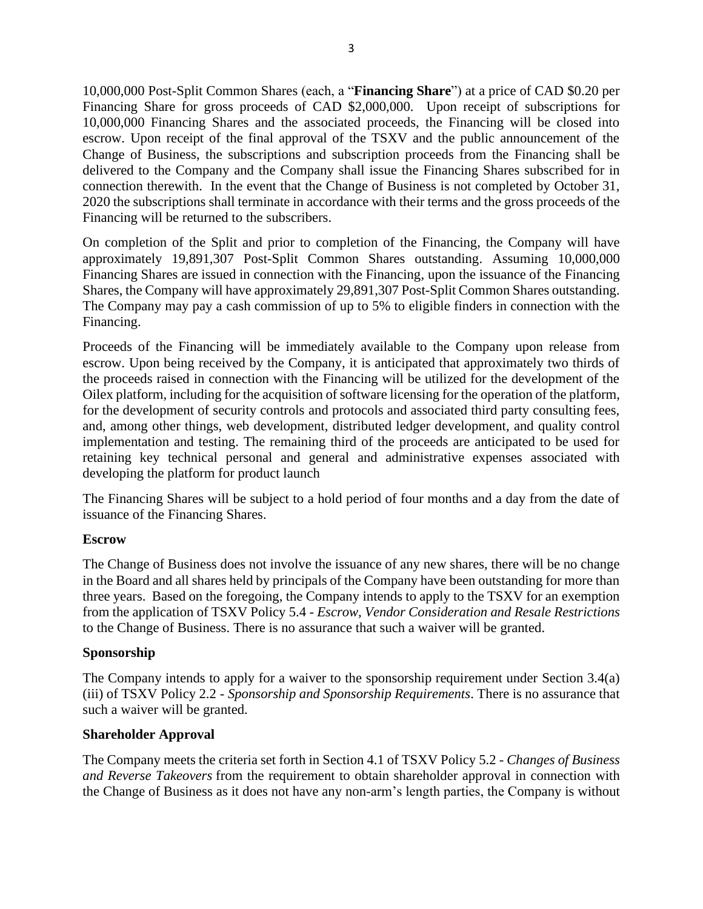10,000,000 Post-Split Common Shares (each, a "**Financing Share**") at a price of CAD \$0.20 per Financing Share for gross proceeds of CAD \$2,000,000. Upon receipt of subscriptions for 10,000,000 Financing Shares and the associated proceeds, the Financing will be closed into escrow. Upon receipt of the final approval of the TSXV and the public announcement of the Change of Business, the subscriptions and subscription proceeds from the Financing shall be delivered to the Company and the Company shall issue the Financing Shares subscribed for in connection therewith. In the event that the Change of Business is not completed by October 31, 2020 the subscriptions shall terminate in accordance with their terms and the gross proceeds of the Financing will be returned to the subscribers.

On completion of the Split and prior to completion of the Financing, the Company will have approximately 19,891,307 Post-Split Common Shares outstanding. Assuming 10,000,000 Financing Shares are issued in connection with the Financing, upon the issuance of the Financing Shares, the Company will have approximately 29,891,307 Post-Split Common Shares outstanding. The Company may pay a cash commission of up to 5% to eligible finders in connection with the Financing.

Proceeds of the Financing will be immediately available to the Company upon release from escrow. Upon being received by the Company, it is anticipated that approximately two thirds of the proceeds raised in connection with the Financing will be utilized for the development of the Oilex platform, including for the acquisition of software licensing for the operation of the platform, for the development of security controls and protocols and associated third party consulting fees, and, among other things, web development, distributed ledger development, and quality control implementation and testing. The remaining third of the proceeds are anticipated to be used for retaining key technical personal and general and administrative expenses associated with developing the platform for product launch

The Financing Shares will be subject to a hold period of four months and a day from the date of issuance of the Financing Shares.

# **Escrow**

The Change of Business does not involve the issuance of any new shares, there will be no change in the Board and all shares held by principals of the Company have been outstanding for more than three years. Based on the foregoing, the Company intends to apply to the TSXV for an exemption from the application of TSXV Policy 5.4 - *Escrow, Vendor Consideration and Resale Restrictions* to the Change of Business. There is no assurance that such a waiver will be granted.

#### **Sponsorship**

The Company intends to apply for a waiver to the sponsorship requirement under Section 3.4(a) (iii) of TSXV Policy 2.2 - *Sponsorship and Sponsorship Requirements*. There is no assurance that such a waiver will be granted.

#### **Shareholder Approval**

The Company meets the criteria set forth in Section 4.1 of TSXV Policy 5.2 - *Changes of Business and Reverse Takeovers* from the requirement to obtain shareholder approval in connection with the Change of Business as it does not have any non-arm's length parties, the Company is without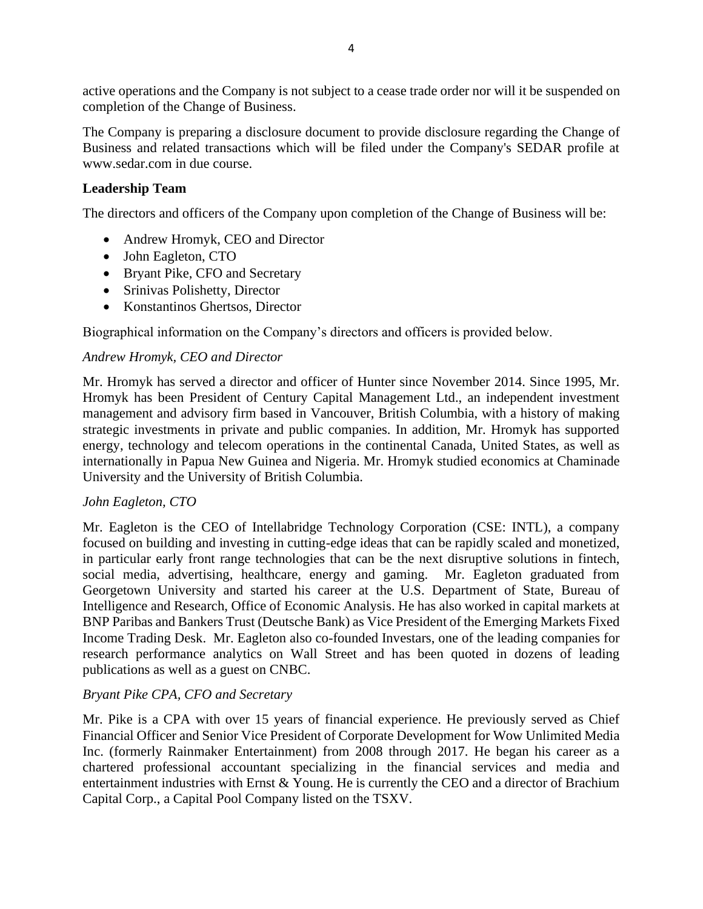active operations and the Company is not subject to a cease trade order nor will it be suspended on completion of the Change of Business.

The Company is preparing a disclosure document to provide disclosure regarding the Change of Business and related transactions which will be filed under the Company's SEDAR profile at www.sedar.com in due course.

## **Leadership Team**

The directors and officers of the Company upon completion of the Change of Business will be:

- Andrew Hromyk, CEO and Director
- John Eagleton, CTO
- Bryant Pike, CFO and Secretary
- Srinivas Polishetty, Director
- Konstantinos Ghertsos, Director

Biographical information on the Company's directors and officers is provided below.

## *Andrew Hromyk, CEO and Director*

Mr. Hromyk has served a director and officer of Hunter since November 2014. Since 1995, Mr. Hromyk has been President of Century Capital Management Ltd., an independent investment management and advisory firm based in Vancouver, British Columbia, with a history of making strategic investments in private and public companies. In addition, Mr. Hromyk has supported energy, technology and telecom operations in the continental Canada, United States, as well as internationally in Papua New Guinea and Nigeria. Mr. Hromyk studied economics at Chaminade University and the University of British Columbia.

#### *John Eagleton, CTO*

Mr. Eagleton is the CEO of Intellabridge Technology Corporation (CSE: INTL), a company focused on building and investing in cutting-edge ideas that can be rapidly scaled and monetized, in particular early front range technologies that can be the next disruptive solutions in fintech, social media, advertising, healthcare, energy and gaming. Mr. Eagleton graduated from Georgetown University and started his career at the U.S. Department of State, Bureau of Intelligence and Research, Office of Economic Analysis. He has also worked in capital markets at BNP Paribas and Bankers Trust (Deutsche Bank) as Vice President of the Emerging Markets Fixed Income Trading Desk. Mr. Eagleton also co-founded Investars, one of the leading companies for research performance analytics on Wall Street and has been quoted in dozens of leading publications as well as a guest on CNBC.

#### *Bryant Pike CPA, CFO and Secretary*

Mr. Pike is a CPA with over 15 years of financial experience. He previously served as Chief Financial Officer and Senior Vice President of Corporate Development for Wow Unlimited Media Inc. (formerly Rainmaker Entertainment) from 2008 through 2017. He began his career as a chartered professional accountant specializing in the financial services and media and entertainment industries with Ernst & Young. He is currently the CEO and a director of Brachium Capital Corp., a Capital Pool Company listed on the TSXV.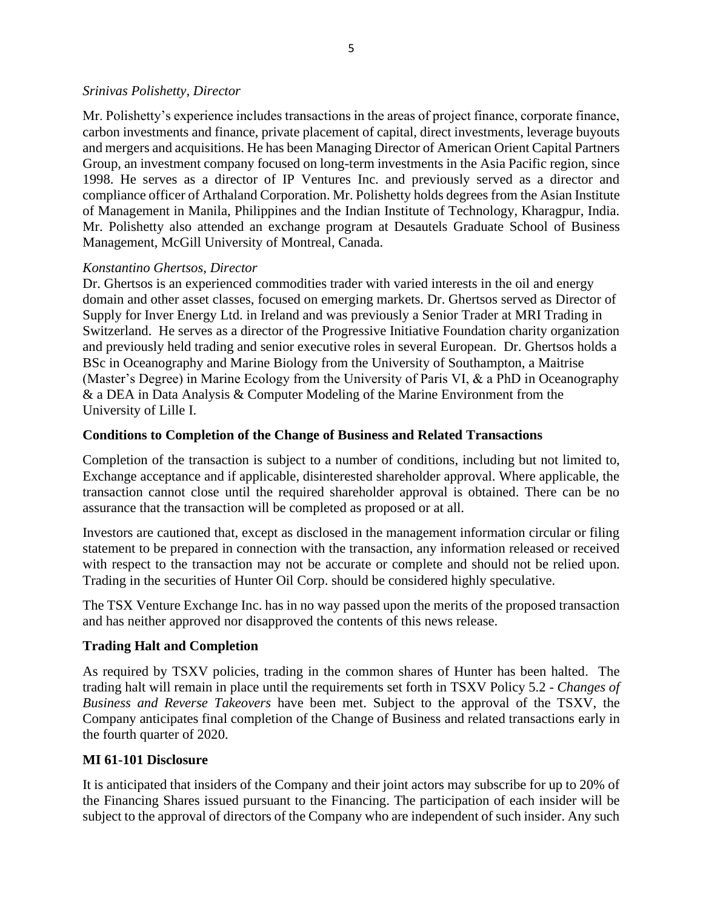#### *Srinivas Polishetty, Director*

Mr. Polishetty's experience includes transactions in the areas of project finance, corporate finance, carbon investments and finance, private placement of capital, direct investments, leverage buyouts and mergers and acquisitions. He has been Managing Director of American Orient Capital Partners Group, an investment company focused on long-term investments in the Asia Pacific region, since 1998. He serves as a director of IP Ventures Inc. and previously served as a director and compliance officer of Arthaland Corporation. Mr. Polishetty holds degrees from the Asian Institute of Management in Manila, Philippines and the Indian Institute of Technology, Kharagpur, India. Mr. Polishetty also attended an exchange program at Desautels Graduate School of Business Management, McGill University of Montreal, Canada.

#### *Konstantino Ghertsos, Director*

Dr. Ghertsos is an experienced commodities trader with varied interests in the oil and energy domain and other asset classes, focused on emerging markets. Dr. Ghertsos served as Director of Supply for Inver Energy Ltd. in Ireland and was previously a Senior Trader at MRI Trading in Switzerland. He serves as a director of the Progressive Initiative Foundation charity organization and previously held trading and senior executive roles in several European. Dr. Ghertsos holds a BSc in Oceanography and Marine Biology from the University of Southampton, a Maitrise (Master's Degree) in Marine Ecology from the University of Paris VI, & a PhD in Oceanography & a DEA in Data Analysis & Computer Modeling of the Marine Environment from the University of Lille I.

#### **Conditions to Completion of the Change of Business and Related Transactions**

Completion of the transaction is subject to a number of conditions, including but not limited to, Exchange acceptance and if applicable, disinterested shareholder approval. Where applicable, the transaction cannot close until the required shareholder approval is obtained. There can be no assurance that the transaction will be completed as proposed or at all.

Investors are cautioned that, except as disclosed in the management information circular or filing statement to be prepared in connection with the transaction, any information released or received with respect to the transaction may not be accurate or complete and should not be relied upon. Trading in the securities of Hunter Oil Corp. should be considered highly speculative.

The TSX Venture Exchange Inc. has in no way passed upon the merits of the proposed transaction and has neither approved nor disapproved the contents of this news release.

#### **Trading Halt and Completion**

As required by TSXV policies, trading in the common shares of Hunter has been halted. The trading halt will remain in place until the requirements set forth in TSXV Policy 5.2 - *Changes of Business and Reverse Takeovers* have been met. Subject to the approval of the TSXV, the Company anticipates final completion of the Change of Business and related transactions early in the fourth quarter of 2020.

#### **MI 61-101 Disclosure**

It is anticipated that insiders of the Company and their joint actors may subscribe for up to 20% of the Financing Shares issued pursuant to the Financing. The participation of each insider will be subject to the approval of directors of the Company who are independent of such insider. Any such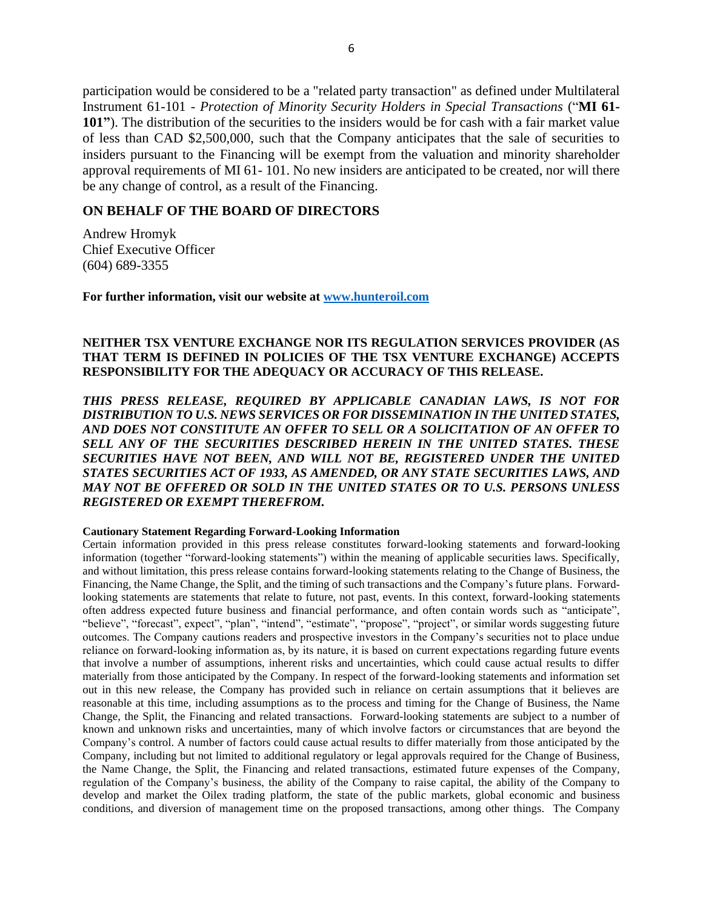participation would be considered to be a "related party transaction" as defined under Multilateral Instrument 61-101 - *Protection of Minority Security Holders in Special Transactions* ("**MI 61- 101"**). The distribution of the securities to the insiders would be for cash with a fair market value of less than CAD \$2,500,000, such that the Company anticipates that the sale of securities to insiders pursuant to the Financing will be exempt from the valuation and minority shareholder approval requirements of MI 61- 101. No new insiders are anticipated to be created, nor will there be any change of control, as a result of the Financing.

#### **ON BEHALF OF THE BOARD OF DIRECTORS**

Andrew Hromyk Chief Executive Officer (604) 689-3355

**For further information, visit our website at [www.hunteroil.com](http://www.hunteroil.com/)**

#### **NEITHER TSX VENTURE EXCHANGE NOR ITS REGULATION SERVICES PROVIDER (AS THAT TERM IS DEFINED IN POLICIES OF THE TSX VENTURE EXCHANGE) ACCEPTS RESPONSIBILITY FOR THE ADEQUACY OR ACCURACY OF THIS RELEASE.**

*THIS PRESS RELEASE, REQUIRED BY APPLICABLE CANADIAN LAWS, IS NOT FOR DISTRIBUTION TO U.S. NEWS SERVICES OR FOR DISSEMINATION IN THE UNITED STATES, AND DOES NOT CONSTITUTE AN OFFER TO SELL OR A SOLICITATION OF AN OFFER TO SELL ANY OF THE SECURITIES DESCRIBED HEREIN IN THE UNITED STATES. THESE SECURITIES HAVE NOT BEEN, AND WILL NOT BE, REGISTERED UNDER THE UNITED STATES SECURITIES ACT OF 1933, AS AMENDED, OR ANY STATE SECURITIES LAWS, AND MAY NOT BE OFFERED OR SOLD IN THE UNITED STATES OR TO U.S. PERSONS UNLESS REGISTERED OR EXEMPT THEREFROM.*

#### **Cautionary Statement Regarding Forward-Looking Information**

Certain information provided in this press release constitutes forward-looking statements and forward-looking information (together "forward-looking statements") within the meaning of applicable securities laws. Specifically, and without limitation, this press release contains forward-looking statements relating to the Change of Business, the Financing, the Name Change, the Split, and the timing of such transactions and the Company's future plans. Forwardlooking statements are statements that relate to future, not past, events. In this context, forward-looking statements often address expected future business and financial performance, and often contain words such as "anticipate", "believe", "forecast", expect", "plan", "intend", "estimate", "propose", "project", or similar words suggesting future outcomes. The Company cautions readers and prospective investors in the Company's securities not to place undue reliance on forward‐looking information as, by its nature, it is based on current expectations regarding future events that involve a number of assumptions, inherent risks and uncertainties, which could cause actual results to differ materially from those anticipated by the Company. In respect of the forward-looking statements and information set out in this new release, the Company has provided such in reliance on certain assumptions that it believes are reasonable at this time, including assumptions as to the process and timing for the Change of Business, the Name Change, the Split, the Financing and related transactions. Forward-looking statements are subject to a number of known and unknown risks and uncertainties, many of which involve factors or circumstances that are beyond the Company's control. A number of factors could cause actual results to differ materially from those anticipated by the Company, including but not limited to additional regulatory or legal approvals required for the Change of Business, the Name Change, the Split, the Financing and related transactions, estimated future expenses of the Company, regulation of the Company's business, the ability of the Company to raise capital, the ability of the Company to develop and market the Oilex trading platform, the state of the public markets, global economic and business conditions, and diversion of management time on the proposed transactions, among other things. The Company